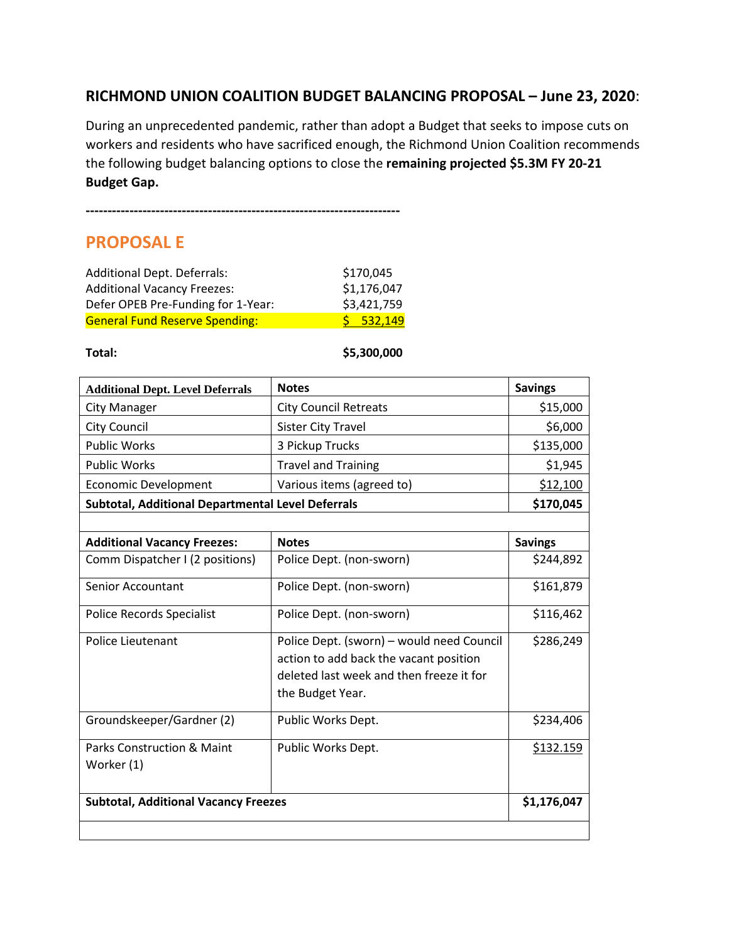## **RICHMOND UNION COALITION BUDGET BALANCING PROPOSAL – June 23, 2020**:

During an unprecedented pandemic, rather than adopt a Budget that seeks to impose cuts on workers and residents who have sacrificed enough, the Richmond Union Coalition recommends the following budget balancing options to close the **remaining projected \$5.3M FY 20-21 Budget Gap.** 

# **PROPOSAL E**

| <b>Additional Dept. Deferrals:</b>    | \$170,045   |
|---------------------------------------|-------------|
| <b>Additional Vacancy Freezes:</b>    | \$1,176,047 |
| Defer OPEB Pre-Funding for 1-Year:    | \$3,421,759 |
| <b>General Fund Reserve Spending:</b> | $5$ 532,149 |

**Total: \$5,300,000**

| <b>Additional Dept. Level Deferrals</b>             | <b>Notes</b>                                                                                                                                        | <b>Savings</b> |
|-----------------------------------------------------|-----------------------------------------------------------------------------------------------------------------------------------------------------|----------------|
| <b>City Manager</b>                                 | <b>City Council Retreats</b>                                                                                                                        | \$15,000       |
| <b>City Council</b>                                 | <b>Sister City Travel</b>                                                                                                                           | \$6,000        |
| <b>Public Works</b>                                 | 3 Pickup Trucks                                                                                                                                     | \$135,000      |
| <b>Public Works</b>                                 | <b>Travel and Training</b>                                                                                                                          | \$1,945        |
| <b>Economic Development</b>                         | Various items (agreed to)                                                                                                                           | \$12,100       |
| Subtotal, Additional Departmental Level Deferrals   |                                                                                                                                                     | \$170,045      |
|                                                     |                                                                                                                                                     |                |
| <b>Additional Vacancy Freezes:</b>                  | <b>Notes</b>                                                                                                                                        | <b>Savings</b> |
| Comm Dispatcher I (2 positions)                     | Police Dept. (non-sworn)                                                                                                                            | \$244,892      |
| <b>Senior Accountant</b>                            | Police Dept. (non-sworn)                                                                                                                            | \$161,879      |
| <b>Police Records Specialist</b>                    | Police Dept. (non-sworn)                                                                                                                            | \$116,462      |
| <b>Police Lieutenant</b>                            | Police Dept. (sworn) - would need Council<br>action to add back the vacant position<br>deleted last week and then freeze it for<br>the Budget Year. | \$286,249      |
|                                                     |                                                                                                                                                     |                |
| Groundskeeper/Gardner (2)                           | Public Works Dept.                                                                                                                                  | \$234,406      |
| <b>Parks Construction &amp; Maint</b><br>Worker (1) | Public Works Dept.                                                                                                                                  | \$132.159      |
| <b>Subtotal, Additional Vacancy Freezes</b>         | \$1,176,047                                                                                                                                         |                |
|                                                     |                                                                                                                                                     |                |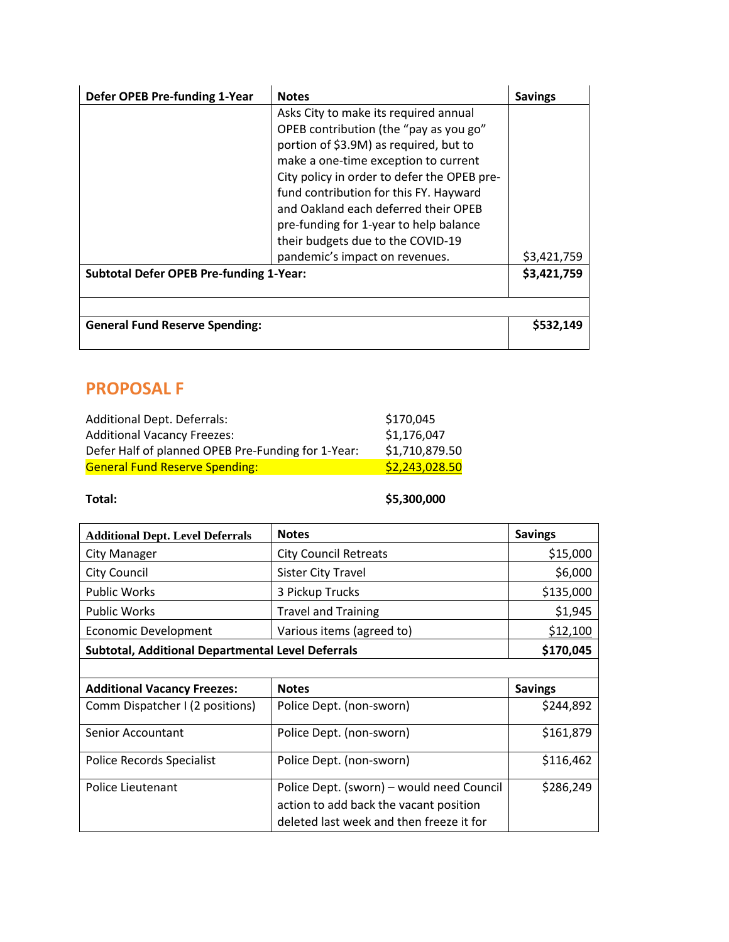| Defer OPEB Pre-funding 1-Year                  | <b>Notes</b>                                                                                                                                                                                                                                                                                                                                                                                                        | <b>Savings</b> |
|------------------------------------------------|---------------------------------------------------------------------------------------------------------------------------------------------------------------------------------------------------------------------------------------------------------------------------------------------------------------------------------------------------------------------------------------------------------------------|----------------|
|                                                | Asks City to make its required annual<br>OPEB contribution (the "pay as you go"<br>portion of \$3.9M) as required, but to<br>make a one-time exception to current<br>City policy in order to defer the OPEB pre-<br>fund contribution for this FY. Hayward<br>and Oakland each deferred their OPEB<br>pre-funding for 1-year to help balance<br>their budgets due to the COVID-19<br>pandemic's impact on revenues. | \$3,421,759    |
| <b>Subtotal Defer OPEB Pre-funding 1-Year:</b> |                                                                                                                                                                                                                                                                                                                                                                                                                     | \$3,421,759    |
|                                                |                                                                                                                                                                                                                                                                                                                                                                                                                     |                |
| <b>General Fund Reserve Spending:</b>          |                                                                                                                                                                                                                                                                                                                                                                                                                     | \$532,149      |

# **PROPOSAL F**

| Additional Dept. Deferrals:                        | \$170,045      |
|----------------------------------------------------|----------------|
| <b>Additional Vacancy Freezes:</b>                 | \$1,176,047    |
| Defer Half of planned OPEB Pre-Funding for 1-Year: | \$1,710,879.50 |
| <b>General Fund Reserve Spending:</b>              | \$2,243,028.50 |

### **Total: \$5,300,000**

| <b>Additional Dept. Level Deferrals</b>                  | <b>Notes</b>                              | <b>Savings</b> |
|----------------------------------------------------------|-------------------------------------------|----------------|
| City Manager                                             | <b>City Council Retreats</b>              | \$15,000       |
| <b>City Council</b>                                      | <b>Sister City Travel</b>                 | \$6,000        |
| <b>Public Works</b>                                      | 3 Pickup Trucks                           | \$135,000      |
| <b>Public Works</b>                                      | <b>Travel and Training</b>                | \$1,945        |
| <b>Economic Development</b>                              | Various items (agreed to)                 | \$12,100       |
| <b>Subtotal, Additional Departmental Level Deferrals</b> |                                           | \$170,045      |
|                                                          |                                           |                |
| <b>Additional Vacancy Freezes:</b>                       | <b>Notes</b>                              | <b>Savings</b> |
| Comm Dispatcher I (2 positions)                          | Police Dept. (non-sworn)                  |                |
|                                                          |                                           | \$244,892      |
| <b>Senior Accountant</b>                                 | Police Dept. (non-sworn)                  | \$161,879      |
| Police Records Specialist                                | Police Dept. (non-sworn)                  | \$116,462      |
| Police Lieutenant                                        | Police Dept. (sworn) – would need Council | \$286,249      |
|                                                          | action to add back the vacant position    |                |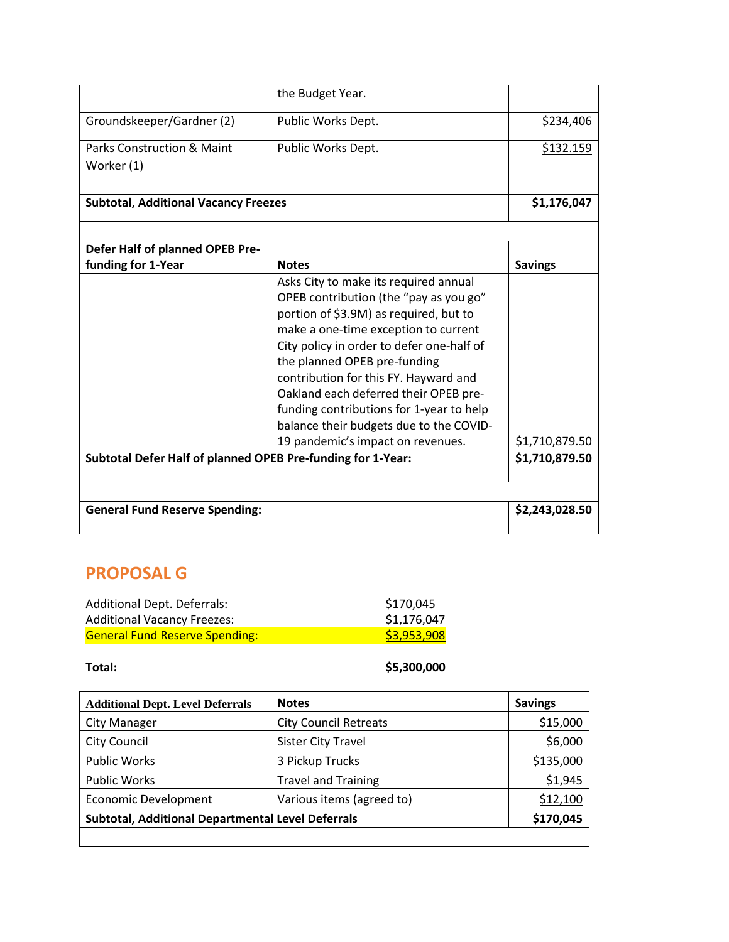|                                                             | the Budget Year.                          |                |
|-------------------------------------------------------------|-------------------------------------------|----------------|
| Groundskeeper/Gardner (2)                                   | Public Works Dept.                        | \$234,406      |
| <b>Parks Construction &amp; Maint</b>                       | Public Works Dept.                        | \$132.159      |
| Worker (1)                                                  |                                           |                |
|                                                             |                                           |                |
| <b>Subtotal, Additional Vacancy Freezes</b>                 |                                           | \$1,176,047    |
|                                                             |                                           |                |
| Defer Half of planned OPEB Pre-                             |                                           |                |
| funding for 1-Year                                          | <b>Notes</b>                              | <b>Savings</b> |
|                                                             | Asks City to make its required annual     |                |
|                                                             | OPEB contribution (the "pay as you go"    |                |
|                                                             | portion of \$3.9M) as required, but to    |                |
|                                                             | make a one-time exception to current      |                |
|                                                             | City policy in order to defer one-half of |                |
|                                                             | the planned OPEB pre-funding              |                |
|                                                             | contribution for this FY. Hayward and     |                |
|                                                             | Oakland each deferred their OPEB pre-     |                |
|                                                             | funding contributions for 1-year to help  |                |
|                                                             | balance their budgets due to the COVID-   |                |
|                                                             | 19 pandemic's impact on revenues.         | \$1,710,879.50 |
| Subtotal Defer Half of planned OPEB Pre-funding for 1-Year: |                                           | \$1,710,879.50 |
|                                                             |                                           |                |
|                                                             |                                           |                |
| <b>General Fund Reserve Spending:</b>                       |                                           | \$2,243,028.50 |
|                                                             |                                           |                |

# **PROPOSAL G**

| Additional Dept. Deferrals:           | \$170,045   |
|---------------------------------------|-------------|
| <b>Additional Vacancy Freezes:</b>    | \$1,176,047 |
| <b>General Fund Reserve Spending:</b> | \$3,953,908 |

**Total: \$5,300,000**

| <b>Additional Dept. Level Deferrals</b>                  | <b>Notes</b>                 | <b>Savings</b> |
|----------------------------------------------------------|------------------------------|----------------|
| <b>City Manager</b>                                      | <b>City Council Retreats</b> | \$15,000       |
| <b>City Council</b>                                      | <b>Sister City Travel</b>    | \$6,000        |
| <b>Public Works</b>                                      | 3 Pickup Trucks              | \$135,000      |
| <b>Public Works</b>                                      | <b>Travel and Training</b>   | \$1,945        |
| <b>Economic Development</b>                              | Various items (agreed to)    | \$12,100       |
| <b>Subtotal, Additional Departmental Level Deferrals</b> |                              | \$170,045      |
|                                                          |                              |                |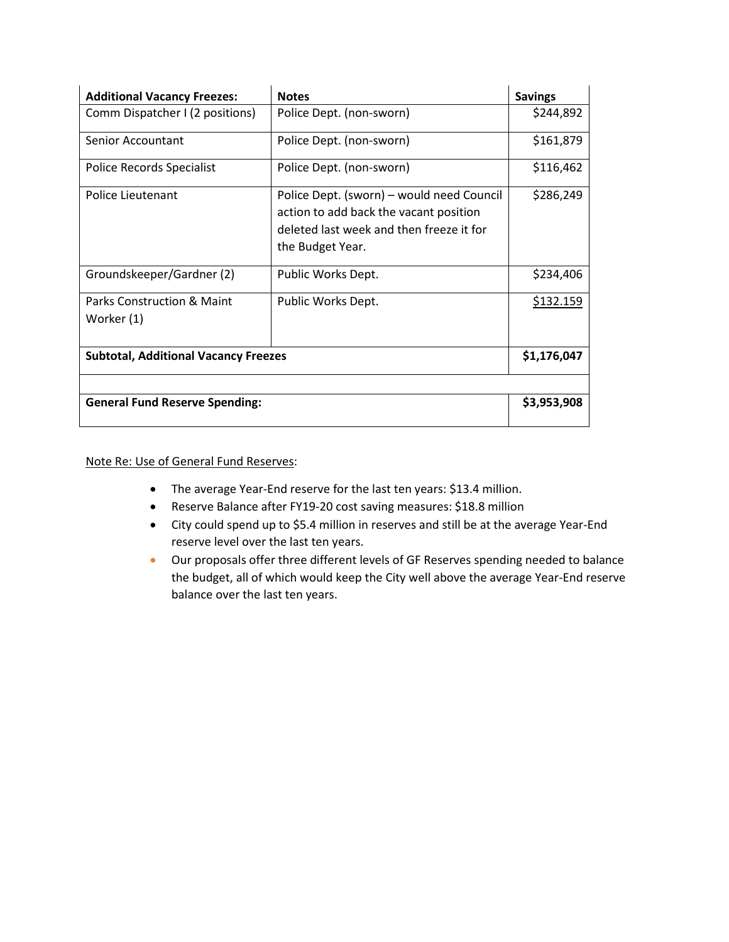| <b>Additional Vacancy Freezes:</b>          | <b>Notes</b>                                                                                                                                        | <b>Savings</b> |
|---------------------------------------------|-----------------------------------------------------------------------------------------------------------------------------------------------------|----------------|
| Comm Dispatcher I (2 positions)             | Police Dept. (non-sworn)                                                                                                                            | \$244,892      |
| Senior Accountant                           | Police Dept. (non-sworn)                                                                                                                            | \$161,879      |
| Police Records Specialist                   | Police Dept. (non-sworn)                                                                                                                            | \$116,462      |
| Police Lieutenant                           | Police Dept. (sworn) – would need Council<br>action to add back the vacant position<br>deleted last week and then freeze it for<br>the Budget Year. | \$286,249      |
| Groundskeeper/Gardner (2)                   | Public Works Dept.                                                                                                                                  | \$234,406      |
| Parks Construction & Maint<br>Worker (1)    | Public Works Dept.                                                                                                                                  | \$132.159      |
| <b>Subtotal, Additional Vacancy Freezes</b> |                                                                                                                                                     | \$1,176,047    |
|                                             |                                                                                                                                                     |                |
| <b>General Fund Reserve Spending:</b>       |                                                                                                                                                     | \$3,953,908    |

### Note Re: Use of General Fund Reserves:

- The average Year-End reserve for the last ten years: \$13.4 million.
- Reserve Balance after FY19-20 cost saving measures: \$18.8 million
- City could spend up to \$5.4 million in reserves and still be at the average Year-End reserve level over the last ten years.
- Our proposals offer three different levels of GF Reserves spending needed to balance the budget, all of which would keep the City well above the average Year-End reserve balance over the last ten years.